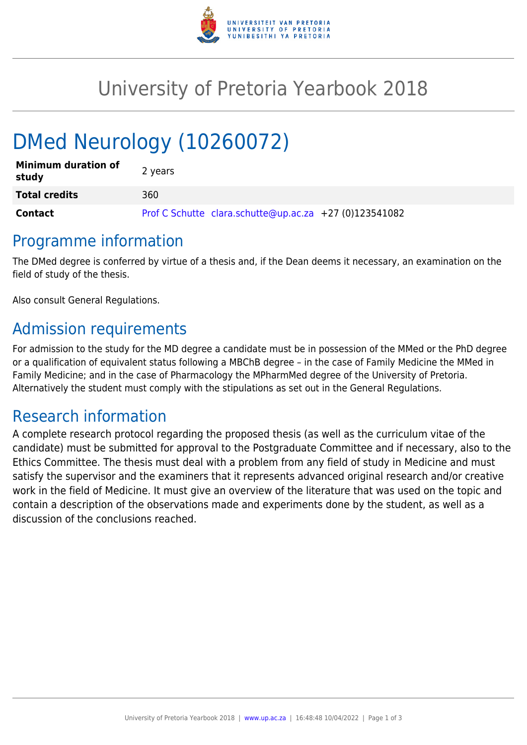

## University of Pretoria Yearbook 2018

# DMed Neurology (10260072)

| <b>Minimum duration of</b><br>study | 2 years                                                |
|-------------------------------------|--------------------------------------------------------|
| <b>Total credits</b>                | 360                                                    |
| Contact                             | Prof C Schutte clara.schutte@up.ac.za +27 (0)123541082 |

## Programme information

The DMed degree is conferred by virtue of a thesis and, if the Dean deems it necessary, an examination on the field of study of the thesis.

Also consult General Regulations.

## Admission requirements

For admission to the study for the MD degree a candidate must be in possession of the MMed or the PhD degree or a qualification of equivalent status following a MBChB degree – in the case of Family Medicine the MMed in Family Medicine; and in the case of Pharmacology the MPharmMed degree of the University of Pretoria. Alternatively the student must comply with the stipulations as set out in the General Regulations.

## Research information

A complete research protocol regarding the proposed thesis (as well as the curriculum vitae of the candidate) must be submitted for approval to the Postgraduate Committee and if necessary, also to the Ethics Committee. The thesis must deal with a problem from any field of study in Medicine and must satisfy the supervisor and the examiners that it represents advanced original research and/or creative work in the field of Medicine. It must give an overview of the literature that was used on the topic and contain a description of the observations made and experiments done by the student, as well as a discussion of the conclusions reached.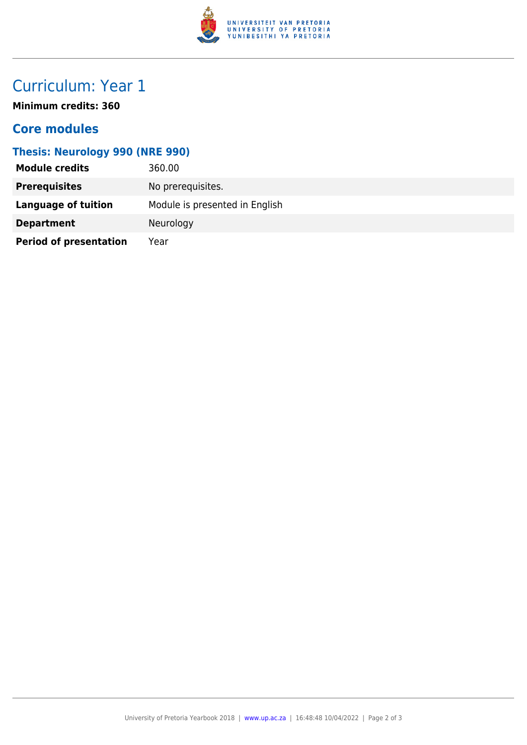

## Curriculum: Year 1

**Minimum credits: 360**

#### **Core modules**

#### **Thesis: Neurology 990 (NRE 990)**

| <b>Module credits</b>         | 360.00                         |
|-------------------------------|--------------------------------|
| <b>Prerequisites</b>          | No prerequisites.              |
| <b>Language of tuition</b>    | Module is presented in English |
| <b>Department</b>             | Neurology                      |
| <b>Period of presentation</b> | Year                           |